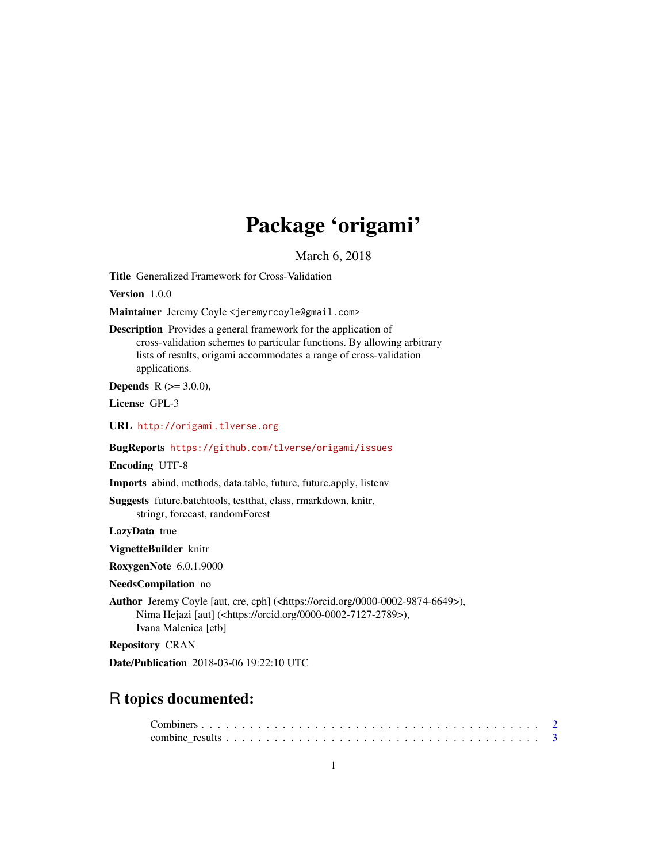# Package 'origami'

March 6, 2018

Title Generalized Framework for Cross-Validation

Version 1.0.0

Maintainer Jeremy Coyle <jeremyrcoyle@gmail.com>

Description Provides a general framework for the application of cross-validation schemes to particular functions. By allowing arbitrary lists of results, origami accommodates a range of cross-validation applications.

**Depends** R  $(>= 3.0.0)$ ,

License GPL-3

URL <http://origami.tlverse.org>

BugReports <https://github.com/tlverse/origami/issues>

Encoding UTF-8

Imports abind, methods, data.table, future, future.apply, listenv

Suggests future.batchtools, testthat, class, rmarkdown, knitr, stringr, forecast, randomForest

LazyData true

VignetteBuilder knitr

RoxygenNote 6.0.1.9000

NeedsCompilation no

Author Jeremy Coyle [aut, cre, cph] (<https://orcid.org/0000-0002-9874-6649>), Nima Hejazi [aut] (<https://orcid.org/0000-0002-7127-2789>), Ivana Malenica [ctb]

Repository CRAN

Date/Publication 2018-03-06 19:22:10 UTC

# R topics documented: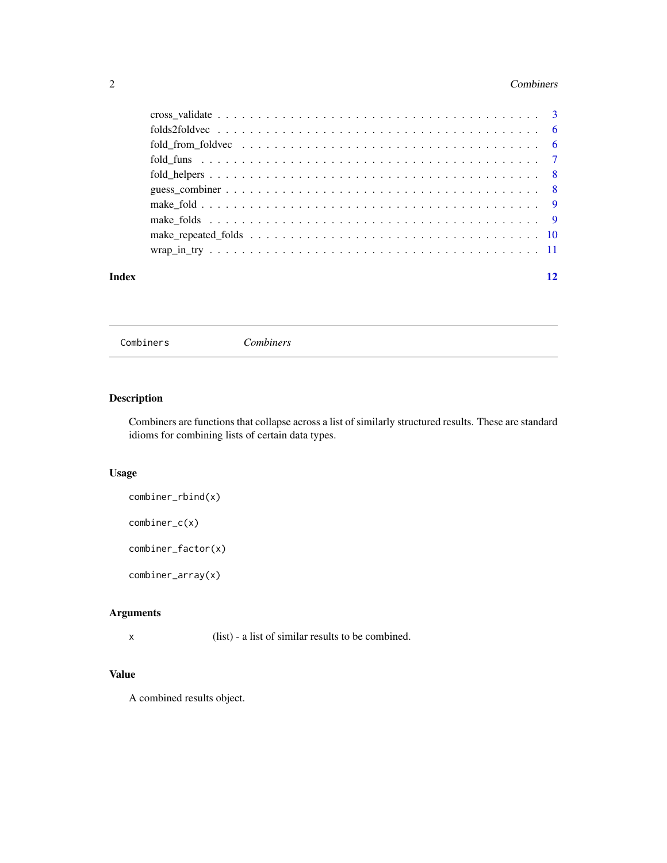#### <span id="page-1-0"></span>2 Combiners 2 Combiners and 2 Combiners 2 Combiners 2 Combiners 2 Combiners 2 Combiners

| Index | 12 |
|-------|----|

<span id="page-1-1"></span>Combiners *Combiners*

# Description

Combiners are functions that collapse across a list of similarly structured results. These are standard idioms for combining lists of certain data types.

# Usage

combiner\_rbind(x)

combiner\_c(x)

combiner\_factor(x)

combiner\_array(x)

# Arguments

x (list) - a list of similar results to be combined.

# Value

A combined results object.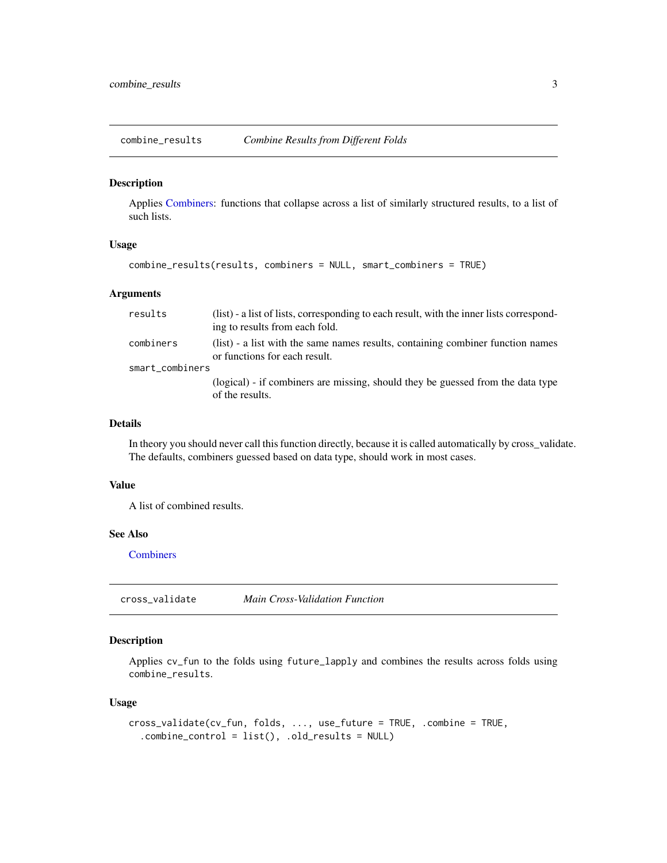<span id="page-2-1"></span><span id="page-2-0"></span>combine\_results *Combine Results from Different Folds*

#### Description

Applies [Combiners:](#page-1-1) functions that collapse across a list of similarly structured results, to a list of such lists.

# Usage

```
combine_results(results, combiners = NULL, smart_combiners = TRUE)
```
#### **Arguments**

| results         | (list) - a list of lists, corresponding to each result, with the inner lists correspond-<br>ing to results from each fold. |
|-----------------|----------------------------------------------------------------------------------------------------------------------------|
| combiners       | (list) - a list with the same names results, containing combiner function names<br>or functions for each result.           |
| smart_combiners |                                                                                                                            |
|                 | (logical) - if combiners are missing, should they be guessed from the data type<br>of the results.                         |

## Details

In theory you should never call this function directly, because it is called automatically by cross\_validate. The defaults, combiners guessed based on data type, should work in most cases.

#### Value

A list of combined results.

# See Also

**[Combiners](#page-1-1)** 

cross\_validate *Main Cross-Validation Function*

# Description

Applies cv\_fun to the folds using future\_lapply and combines the results across folds using combine\_results.

#### Usage

```
cross_validate(cv_fun, folds, ..., use_future = TRUE, .combine = TRUE,
  .combine_control = list(), .old_results = NULL)
```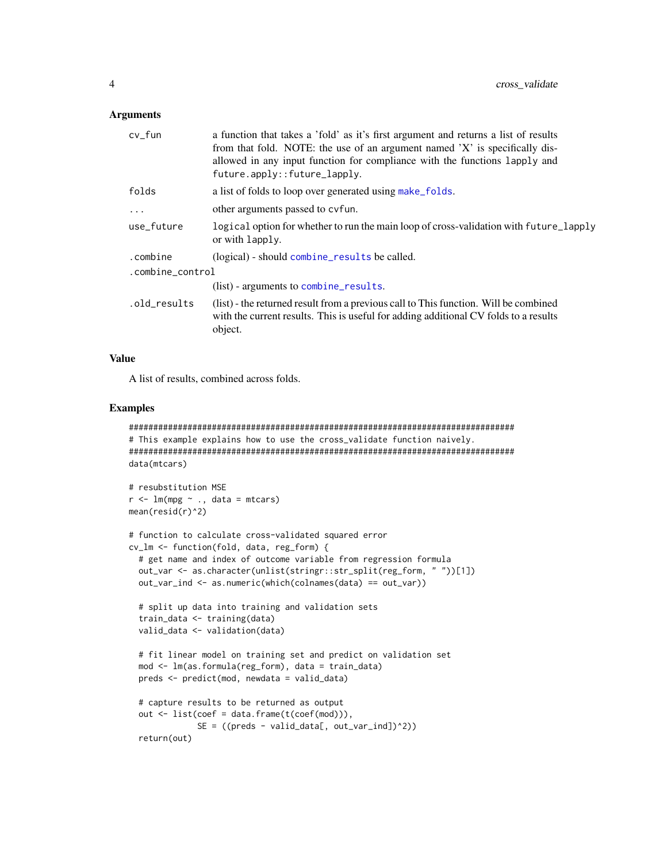#### <span id="page-3-0"></span>**Arguments**

| cv_fun           | a function that takes a 'fold' as it's first argument and returns a list of results<br>from that fold. NOTE: the use of an argument named 'X' is specifically dis-<br>allowed in any input function for compliance with the functions lapply and<br>future.apply::future_lapply. |
|------------------|----------------------------------------------------------------------------------------------------------------------------------------------------------------------------------------------------------------------------------------------------------------------------------|
| folds            | a list of folds to loop over generated using make_folds.                                                                                                                                                                                                                         |
| $\ddotsc$        | other arguments passed to cyfun.                                                                                                                                                                                                                                                 |
| use_future       | logical option for whether to run the main loop of cross-validation with future_lapply<br>or with lapply.                                                                                                                                                                        |
| .combine         | (logical) - should combine_results be called.                                                                                                                                                                                                                                    |
| .combine_control |                                                                                                                                                                                                                                                                                  |
|                  | (list) - arguments to combine_results.                                                                                                                                                                                                                                           |
| .old_results     | (list) - the returned result from a previous call to This function. Will be combined<br>with the current results. This is useful for adding additional CV folds to a results<br>object.                                                                                          |
|                  |                                                                                                                                                                                                                                                                                  |

# Value

A list of results, combined across folds.

#### Examples

```
###############################################################################
# This example explains how to use the cross_validate function naively.
###############################################################################
data(mtcars)
# resubstitution MSE
r < -1m(mpg ~ ., data = mtcars)
mean(resid(r)^2)
# function to calculate cross-validated squared error
cv_lm <- function(fold, data, reg_form) {
 # get name and index of outcome variable from regression formula
 out_var <- as.character(unlist(stringr::str_split(reg_form, " "))[1])
 out_var_ind <- as.numeric(which(colnames(data) == out_var))
 # split up data into training and validation sets
 train_data <- training(data)
 valid_data <- validation(data)
 # fit linear model on training set and predict on validation set
 mod <- lm(as.formula(reg_form), data = train_data)
 preds <- predict(mod, newdata = valid_data)
 # capture results to be returned as output
 out <- list(coef = data.frame(t(coef(mod))),
             SE = ((preds - valid_data[, out_var_id])^2)return(out)
```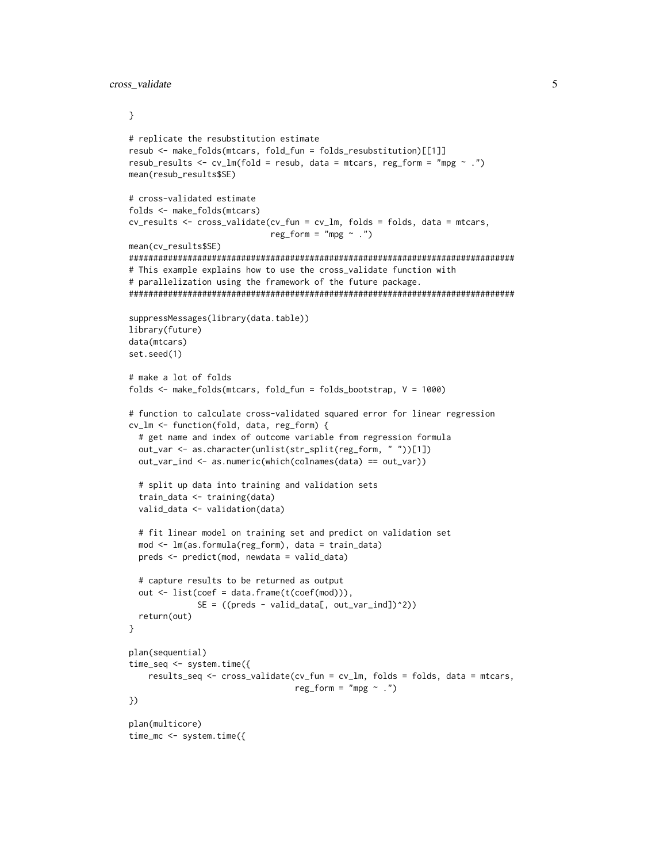cross\_validate 5

}

```
# replicate the resubstitution estimate
resub <- make_folds(mtcars, fold_fun = folds_resubstitution)[[1]]
resub_results \leq cv_lm(fold = resub, data = mtcars, reg_form = "mpg \sim .")
mean(resub_results$SE)
# cross-validated estimate
folds <- make_folds(mtcars)
cv_results <- cross_validate(cv_fun = cv_lm, folds = folds, data = mtcars,
                             reg_form = "mpg ~.")mean(cv_results$SE)
###############################################################################
# This example explains how to use the cross_validate function with
# parallelization using the framework of the future package.
###############################################################################
suppressMessages(library(data.table))
library(future)
data(mtcars)
set.seed(1)
# make a lot of folds
folds <- make_folds(mtcars, fold_fun = folds_bootstrap, V = 1000)
# function to calculate cross-validated squared error for linear regression
cv_lm <- function(fold, data, reg_form) {
  # get name and index of outcome variable from regression formula
  out_var <- as.character(unlist(str_split(reg_form, " "))[1])
  out_var_ind <- as.numeric(which(colnames(data) == out_var))
  # split up data into training and validation sets
  train_data <- training(data)
  valid_data <- validation(data)
  # fit linear model on training set and predict on validation set
  mod <- lm(as.formula(reg_form), data = train_data)
  preds <- predict(mod, newdata = valid_data)
  # capture results to be returned as output
  out <- list(coef = data.frame(t(coef(mod))),
              SE = ((preds - valid_data[, out_var_id])^2)return(out)
}
plan(sequential)
time_seq <- system.time({
    results_seq <- cross_validate(cv_fun = cv_lm, folds = folds, data = mtcars,
                                  reg_{form} = "mpg \sim .")})
plan(multicore)
time_mc <- system.time({
```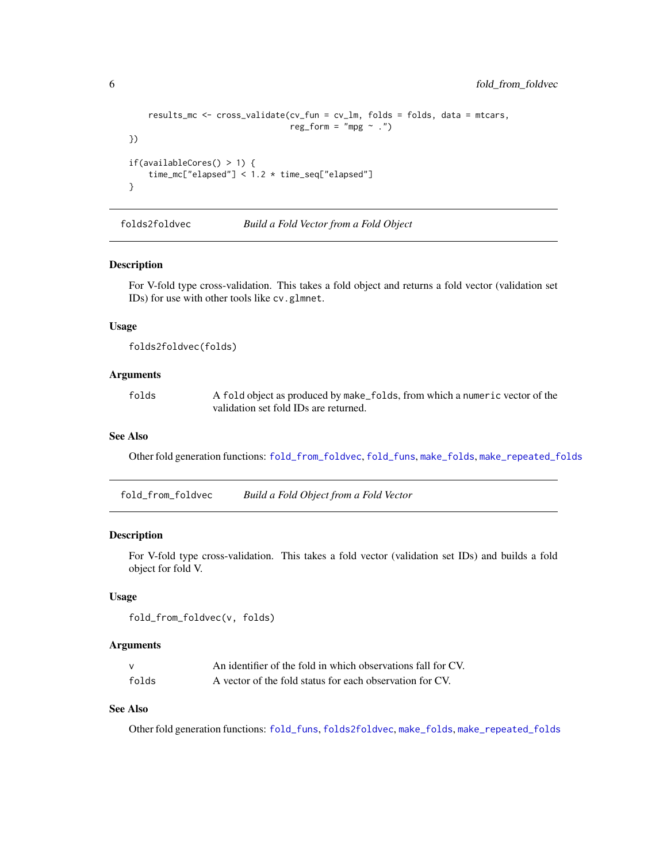```
results_mc <- cross_validate(cv_fun = cv_lm, folds = folds, data = mtcars,
                                 reg_{r} = "mpg \sim .")})
if(availableCores() > 1) {
    time_mc["elapsed"] < 1.2 * time_seq["elapsed"]
}
```
<span id="page-5-2"></span>folds2foldvec *Build a Fold Vector from a Fold Object*

# Description

For V-fold type cross-validation. This takes a fold object and returns a fold vector (validation set IDs) for use with other tools like cv.glmnet.

#### Usage

```
folds2foldvec(folds)
```
# Arguments

folds A fold object as produced by make\_folds, from which a numeric vector of the validation set fold IDs are returned.

#### See Also

Other fold generation functions: [fold\\_from\\_foldvec](#page-5-1), [fold\\_funs](#page-6-1), [make\\_folds](#page-8-1), [make\\_repeated\\_folds](#page-9-1)

<span id="page-5-1"></span>fold\_from\_foldvec *Build a Fold Object from a Fold Vector*

# Description

For V-fold type cross-validation. This takes a fold vector (validation set IDs) and builds a fold object for fold V.

#### Usage

```
fold_from_foldvec(v, folds)
```
#### Arguments

|       | An identifier of the fold in which observations fall for CV. |
|-------|--------------------------------------------------------------|
| folds | A vector of the fold status for each observation for CV.     |

# See Also

Other fold generation functions: [fold\\_funs](#page-6-1), [folds2foldvec](#page-5-2), [make\\_folds](#page-8-1), [make\\_repeated\\_folds](#page-9-1)

<span id="page-5-0"></span>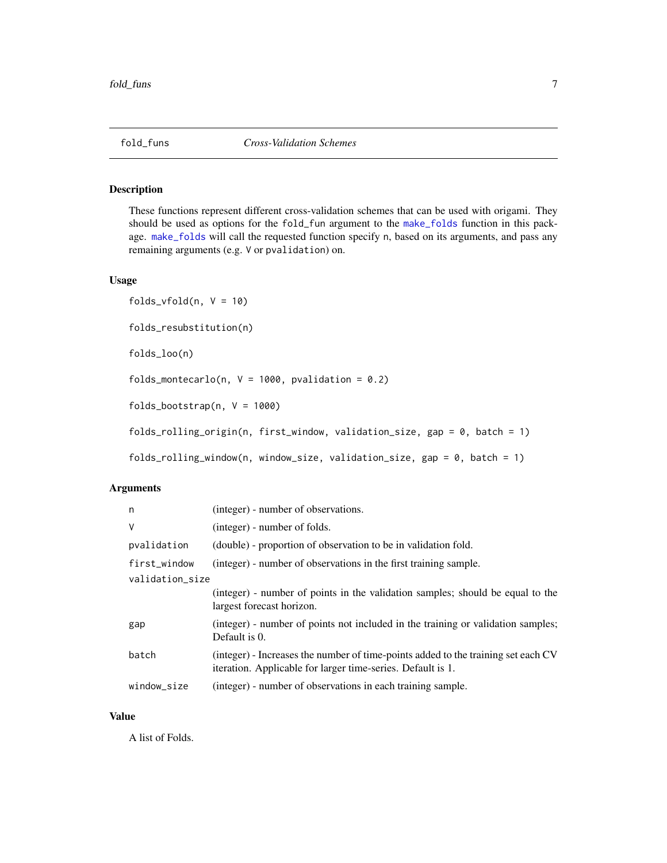<span id="page-6-1"></span><span id="page-6-0"></span>

### Description

These functions represent different cross-validation schemes that can be used with origami. They should be used as options for the fold\_fun argument to the [make\\_folds](#page-8-1) function in this package. [make\\_folds](#page-8-1) will call the requested function specify n, based on its arguments, and pass any remaining arguments (e.g. V or pvalidation) on.

#### Usage

```
folds_vfold(n, V = 10)folds_resubstitution(n)
folds_loo(n)
folds_montecarlo(n, V = 1000, pvalidation = 0.2)
folds_bootstrap(n, V = 1000)
folds_rolling_origin(n, first_window, validation_size, gap = 0, batch = 1)
folds_rolling_window(n, window_size, validation_size, gap = 0, batch = 1)
```
#### Arguments

| n            | (integer) - number of observations.                                                                                                              |  |  |  |  |  |  |
|--------------|--------------------------------------------------------------------------------------------------------------------------------------------------|--|--|--|--|--|--|
| V            | (integer) - number of folds.                                                                                                                     |  |  |  |  |  |  |
| pvalidation  | (double) - proportion of observation to be in validation fold.                                                                                   |  |  |  |  |  |  |
| first_window | (integer) - number of observations in the first training sample.                                                                                 |  |  |  |  |  |  |
|              | validation size                                                                                                                                  |  |  |  |  |  |  |
|              | (integer) - number of points in the validation samples; should be equal to the<br>largest forecast horizon.                                      |  |  |  |  |  |  |
| gap          | (integer) - number of points not included in the training or validation samples;<br>Default is 0.                                                |  |  |  |  |  |  |
| batch        | (integer) - Increases the number of time-points added to the training set each CV<br>iteration. Applicable for larger time-series. Default is 1. |  |  |  |  |  |  |
| window size  | (integer) - number of observations in each training sample.                                                                                      |  |  |  |  |  |  |
|              |                                                                                                                                                  |  |  |  |  |  |  |

#### Value

A list of Folds.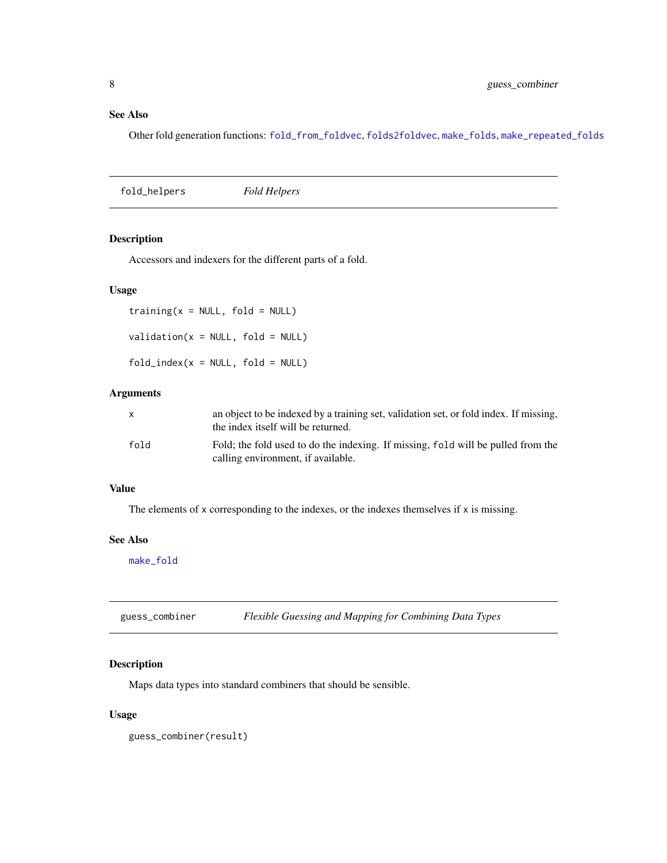# <span id="page-7-0"></span>See Also

Other fold generation functions: [fold\\_from\\_foldvec](#page-5-1), [folds2foldvec](#page-5-2), [make\\_folds](#page-8-1), [make\\_repeated\\_folds](#page-9-1)

<span id="page-7-1"></span>fold\_helpers *Fold Helpers*

# Description

Accessors and indexers for the different parts of a fold.

# Usage

 $training(x = NULL, fold = NULL)$  $validation(x = NULL, fold = NULL)$  $fold\_index(x = NULL, fold = NULL)$ 

#### Arguments

|      | an object to be indexed by a training set, validation set, or fold index. If missing,<br>the index itself will be returned. |
|------|-----------------------------------------------------------------------------------------------------------------------------|
| fold | Fold; the fold used to do the indexing. If missing, fold will be pulled from the<br>calling environment, if available.      |

# Value

The elements of x corresponding to the indexes, or the indexes themselves if x is missing.

# See Also

[make\\_fold](#page-8-2)

guess\_combiner *Flexible Guessing and Mapping for Combining Data Types*

# Description

Maps data types into standard combiners that should be sensible.

# Usage

guess\_combiner(result)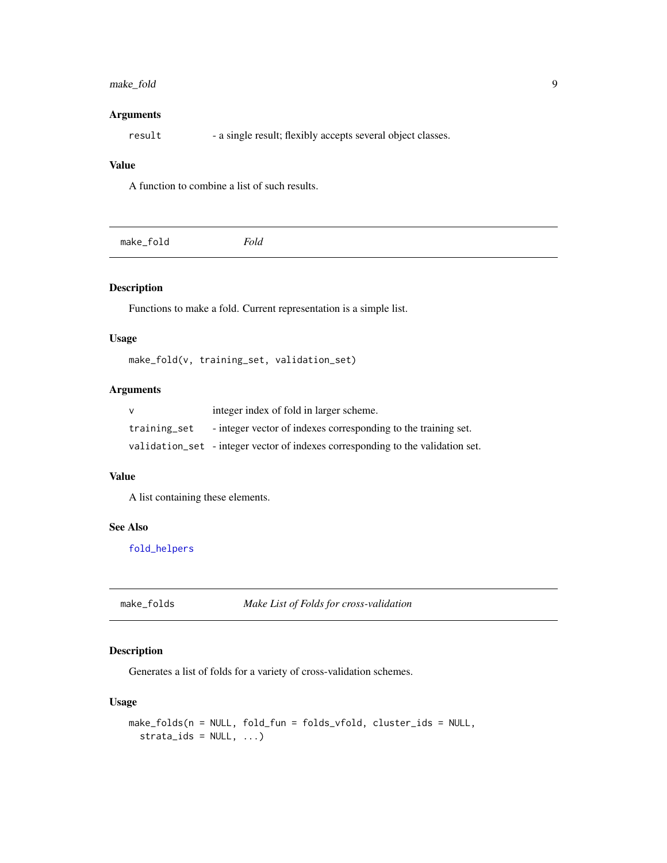# <span id="page-8-0"></span>make\_fold 9

# Arguments

result - a single result; flexibly accepts several object classes.

# Value

A function to combine a list of such results.

<span id="page-8-2"></span>

| <sup>7</sup> old<br>make_fold |  |
|-------------------------------|--|
|-------------------------------|--|

# Description

Functions to make a fold. Current representation is a simple list.

# Usage

make\_fold(v, training\_set, validation\_set)

# Arguments

|              | integer index of fold in larger scheme.                                         |
|--------------|---------------------------------------------------------------------------------|
| training_set | - integer vector of indexes corresponding to the training set.                  |
|              | validation_set - integer vector of indexes corresponding to the validation set. |

# Value

A list containing these elements.

# See Also

[fold\\_helpers](#page-7-1)

<span id="page-8-1"></span>make\_folds *Make List of Folds for cross-validation*

# Description

Generates a list of folds for a variety of cross-validation schemes.

# Usage

```
make_folds(n = NULL, fold_fun = folds_vfold, cluster_ids = NULL,
 strata\_ids = NULL, ...
```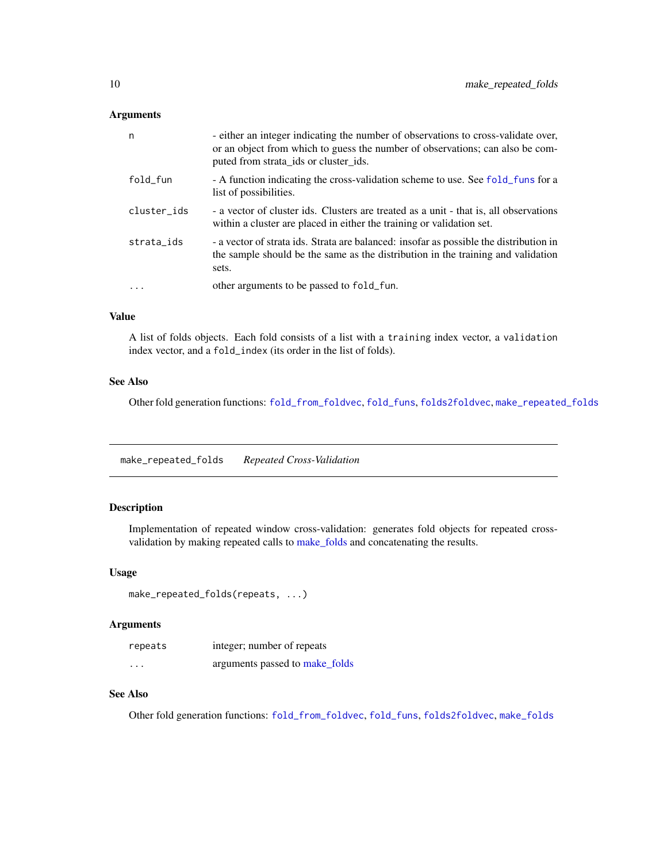#### <span id="page-9-0"></span>Arguments

| n           | - either an integer indicating the number of observations to cross-validate over,<br>or an object from which to guess the number of observations; can also be com-<br>puted from strata_ids or cluster_ids. |
|-------------|-------------------------------------------------------------------------------------------------------------------------------------------------------------------------------------------------------------|
| fold_fun    | - A function indicating the cross-validation scheme to use. See fold_funs for a<br>list of possibilities.                                                                                                   |
| cluster_ids | - a vector of cluster ids. Clusters are treated as a unit - that is, all observations<br>within a cluster are placed in either the training or validation set.                                              |
| strata ids  | - a vector of strata ids. Strata are balanced: insofar as possible the distribution in<br>the sample should be the same as the distribution in the training and validation<br>sets.                         |
| $\cdot$     | other arguments to be passed to fold_fun.                                                                                                                                                                   |
|             |                                                                                                                                                                                                             |

# Value

A list of folds objects. Each fold consists of a list with a training index vector, a validation index vector, and a fold\_index (its order in the list of folds).

# See Also

Other fold generation functions: [fold\\_from\\_foldvec](#page-5-1), [fold\\_funs](#page-6-1), [folds2foldvec](#page-5-2), [make\\_repeated\\_folds](#page-9-1)

<span id="page-9-1"></span>make\_repeated\_folds *Repeated Cross-Validation*

# Description

Implementation of repeated window cross-validation: generates fold objects for repeated crossvalidation by making repeated calls to [make\\_folds](#page-8-1) and concatenating the results.

#### Usage

```
make_repeated_folds(repeats, ...)
```
# Arguments

| repeats  | integer; number of repeats     |
|----------|--------------------------------|
| $\cdots$ | arguments passed to make_folds |

# See Also

Other fold generation functions: [fold\\_from\\_foldvec](#page-5-1), [fold\\_funs](#page-6-1), [folds2foldvec](#page-5-2), [make\\_folds](#page-8-1)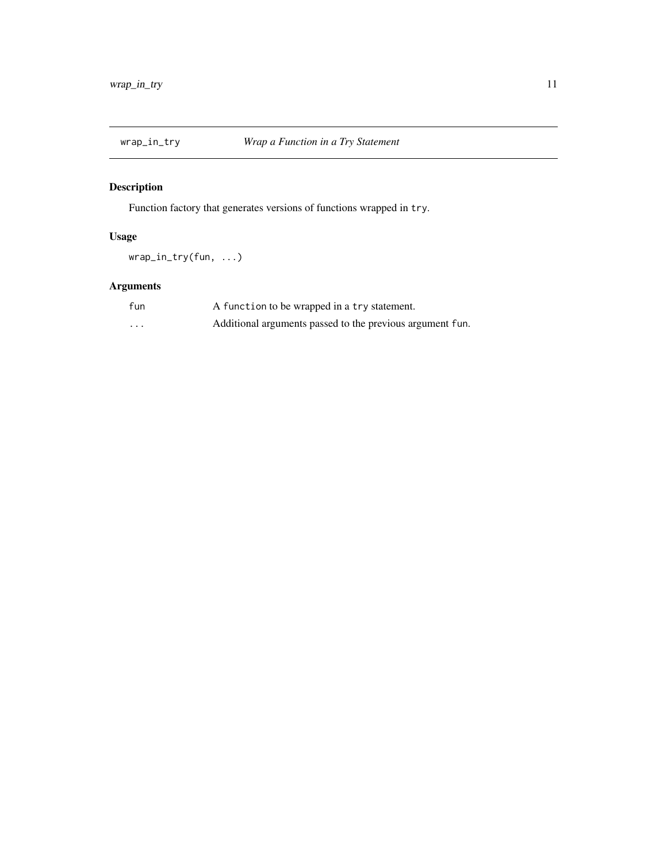<span id="page-10-0"></span>

# Description

Function factory that generates versions of functions wrapped in try.

# Usage

wrap\_in\_try(fun, ...)

# Arguments

| fun | A function to be wrapped in a try statement.              |
|-----|-----------------------------------------------------------|
| .   | Additional arguments passed to the previous argument fun. |